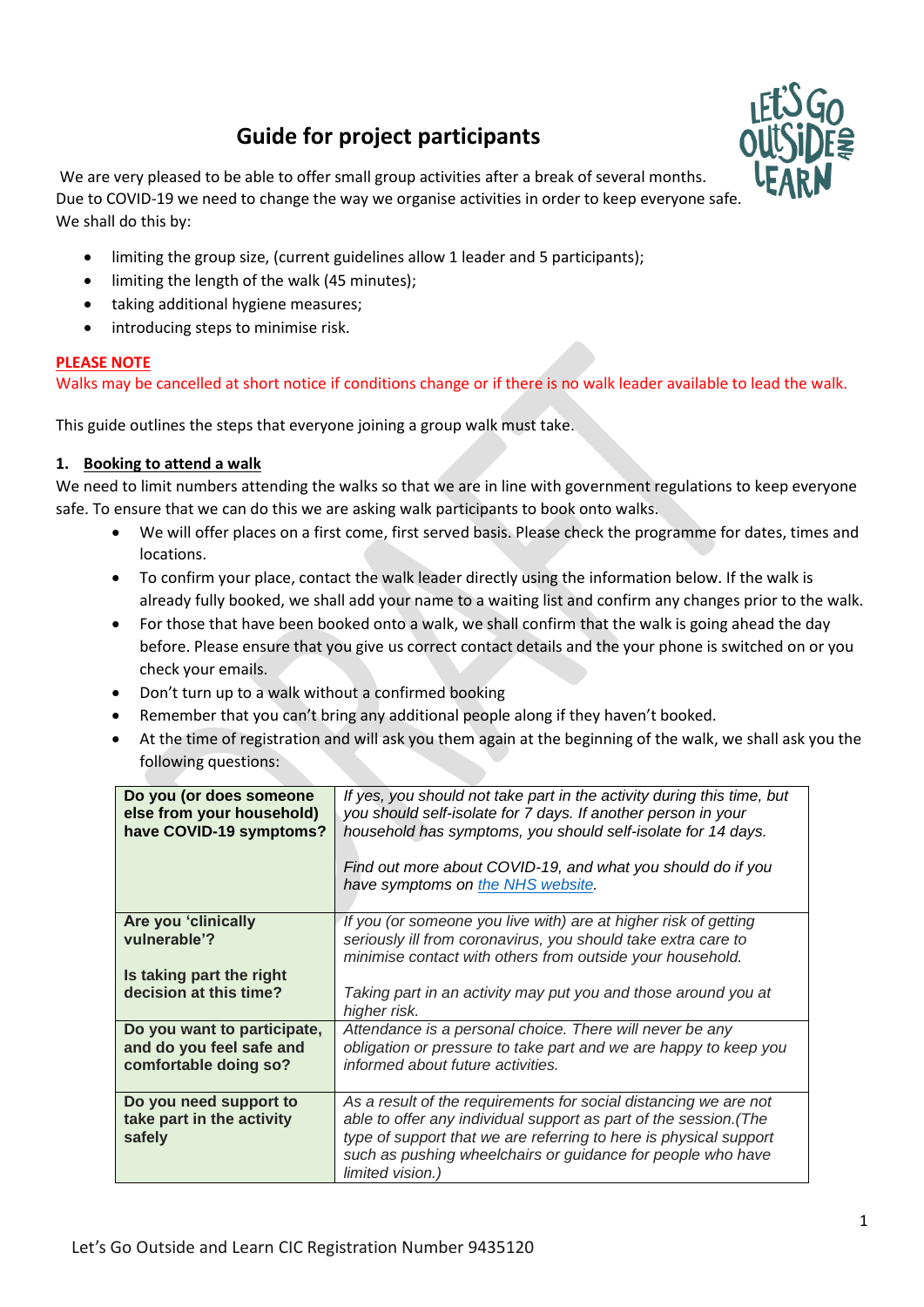# **Guide for project participants**



We are very pleased to be able to offer small group activities after a break of several months. Due to COVID-19 we need to change the way we organise activities in order to keep everyone safe. We shall do this by:

- limiting the group size, (current guidelines allow 1 leader and 5 participants);
- limiting the length of the walk (45 minutes);
- taking additional hygiene measures;
- introducing steps to minimise risk.

#### **PLEASE NOTE**

Walks may be cancelled at short notice if conditions change or if there is no walk leader available to lead the walk.

This guide outlines the steps that everyone joining a group walk must take.

#### **1. Booking to attend a walk**

We need to limit numbers attending the walks so that we are in line with government regulations to keep everyone safe. To ensure that we can do this we are asking walk participants to book onto walks.

- We will offer places on a first come, first served basis. Please check the programme for dates, times and locations.
- To confirm your place, contact the walk leader directly using the information below. If the walk is already fully booked, we shall add your name to a waiting list and confirm any changes prior to the walk.
- For those that have been booked onto a walk, we shall confirm that the walk is going ahead the day before. Please ensure that you give us correct contact details and the your phone is switched on or you check your emails.
- Don't turn up to a walk without a confirmed booking
- Remember that you can't bring any additional people along if they haven't booked.
- At the time of registration and will ask you them again at the beginning of the walk, we shall ask you the following questions:

| Do you (or does someone<br>else from your household)<br>have COVID-19 symptoms?  | If yes, you should not take part in the activity during this time, but<br>you should self-isolate for 7 days. If another person in your<br>household has symptoms, you should self-isolate for 14 days.<br>Find out more about COVID-19, and what you should do if you<br>have symptoms on the NHS website. |
|----------------------------------------------------------------------------------|-------------------------------------------------------------------------------------------------------------------------------------------------------------------------------------------------------------------------------------------------------------------------------------------------------------|
| Are you 'clinically<br>vulnerable'?                                              | If you (or someone you live with) are at higher risk of getting<br>seriously ill from coronavirus, you should take extra care to<br>minimise contact with others from outside your household.                                                                                                               |
| Is taking part the right<br>decision at this time?                               | Taking part in an activity may put you and those around you at<br>higher risk.                                                                                                                                                                                                                              |
| Do you want to participate,<br>and do you feel safe and<br>comfortable doing so? | Attendance is a personal choice. There will never be any<br>obligation or pressure to take part and we are happy to keep you<br>informed about future activities.                                                                                                                                           |
| Do you need support to<br>take part in the activity<br>safely                    | As a result of the requirements for social distancing we are not<br>able to offer any individual support as part of the session. (The<br>type of support that we are referring to here is physical support<br>such as pushing wheelchairs or guidance for people who have<br>limited vision.)               |